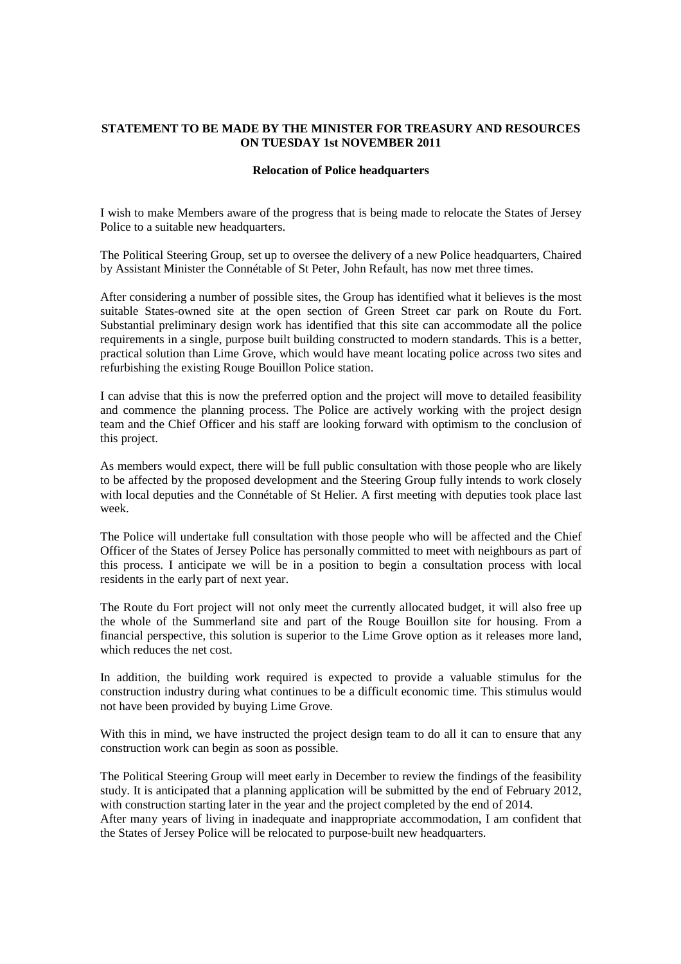## **STATEMENT TO BE MADE BY THE MINISTER FOR TREASURY AND RESOURCES ON TUESDAY 1st NOVEMBER 2011**

### **Relocation of Police headquarters**

I wish to make Members aware of the progress that is being made to relocate the States of Jersey Police to a suitable new headquarters.

The Political Steering Group, set up to oversee the delivery of a new Police headquarters, Chaired by Assistant Minister the Connétable of St Peter, John Refault, has now met three times.

After considering a number of possible sites, the Group has identified what it believes is the most suitable States-owned site at the open section of Green Street car park on Route du Fort. Substantial preliminary design work has identified that this site can accommodate all the police requirements in a single, purpose built building constructed to modern standards. This is a better, practical solution than Lime Grove, which would have meant locating police across two sites and refurbishing the existing Rouge Bouillon Police station.

I can advise that this is now the preferred option and the project will move to detailed feasibility and commence the planning process. The Police are actively working with the project design team and the Chief Officer and his staff are looking forward with optimism to the conclusion of this project.

As members would expect, there will be full public consultation with those people who are likely to be affected by the proposed development and the Steering Group fully intends to work closely with local deputies and the Connétable of St Helier. A first meeting with deputies took place last week.

The Police will undertake full consultation with those people who will be affected and the Chief Officer of the States of Jersey Police has personally committed to meet with neighbours as part of this process. I anticipate we will be in a position to begin a consultation process with local residents in the early part of next year.

The Route du Fort project will not only meet the currently allocated budget, it will also free up the whole of the Summerland site and part of the Rouge Bouillon site for housing. From a financial perspective, this solution is superior to the Lime Grove option as it releases more land, which reduces the net cost.

In addition, the building work required is expected to provide a valuable stimulus for the construction industry during what continues to be a difficult economic time. This stimulus would not have been provided by buying Lime Grove.

With this in mind, we have instructed the project design team to do all it can to ensure that any construction work can begin as soon as possible.

The Political Steering Group will meet early in December to review the findings of the feasibility study. It is anticipated that a planning application will be submitted by the end of February 2012, with construction starting later in the year and the project completed by the end of 2014.

After many years of living in inadequate and inappropriate accommodation, I am confident that the States of Jersey Police will be relocated to purpose-built new headquarters.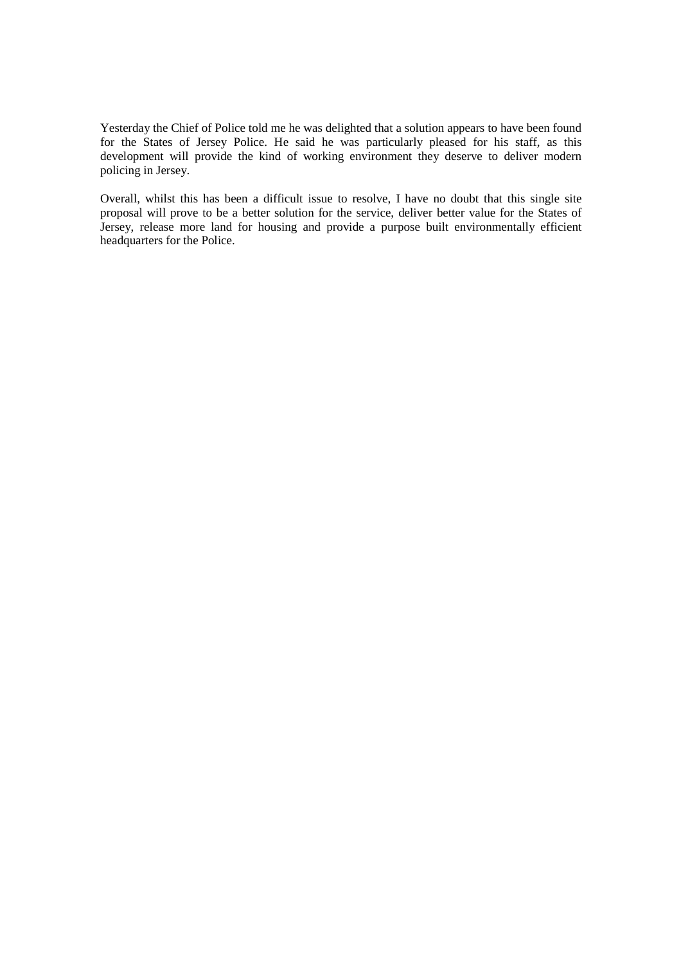Yesterday the Chief of Police told me he was delighted that a solution appears to have been found for the States of Jersey Police. He said he was particularly pleased for his staff, as this development will provide the kind of working environment they deserve to deliver modern policing in Jersey.

Overall, whilst this has been a difficult issue to resolve, I have no doubt that this single site proposal will prove to be a better solution for the service, deliver better value for the States of Jersey, release more land for housing and provide a purpose built environmentally efficient headquarters for the Police.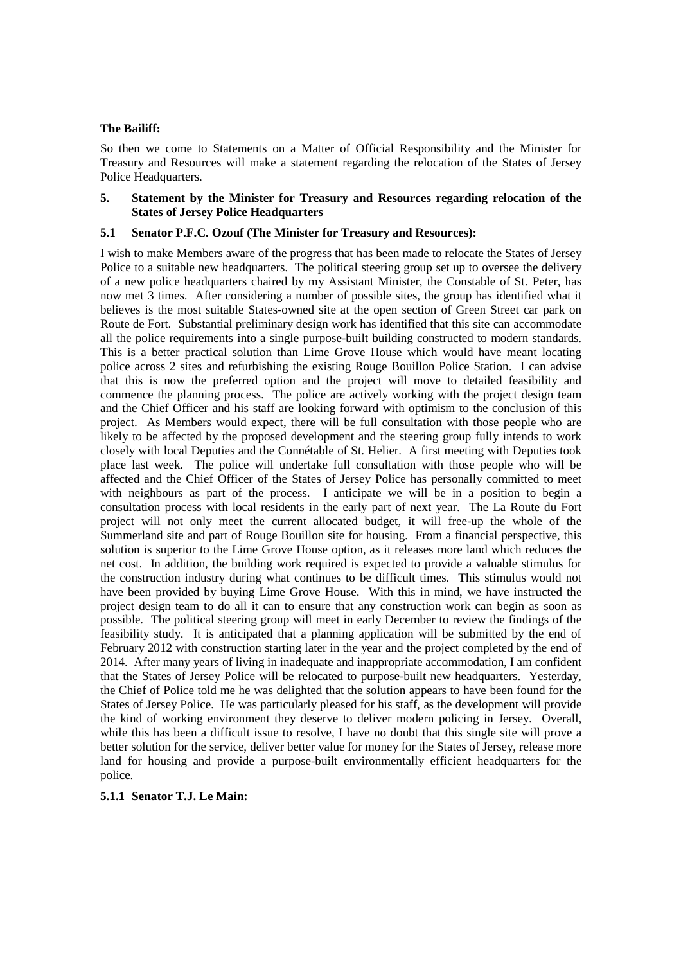### **The Bailiff:**

So then we come to Statements on a Matter of Official Responsibility and the Minister for Treasury and Resources will make a statement regarding the relocation of the States of Jersey Police Headquarters.

### **5. Statement by the Minister for Treasury and Resources regarding relocation of the States of Jersey Police Headquarters**

### **5.1 Senator P.F.C. Ozouf (The Minister for Treasury and Resources):**

I wish to make Members aware of the progress that has been made to relocate the States of Jersey Police to a suitable new headquarters. The political steering group set up to oversee the delivery of a new police headquarters chaired by my Assistant Minister, the Constable of St. Peter, has now met 3 times. After considering a number of possible sites, the group has identified what it believes is the most suitable States-owned site at the open section of Green Street car park on Route de Fort. Substantial preliminary design work has identified that this site can accommodate all the police requirements into a single purpose-built building constructed to modern standards. This is a better practical solution than Lime Grove House which would have meant locating police across 2 sites and refurbishing the existing Rouge Bouillon Police Station. I can advise that this is now the preferred option and the project will move to detailed feasibility and commence the planning process. The police are actively working with the project design team and the Chief Officer and his staff are looking forward with optimism to the conclusion of this project. As Members would expect, there will be full consultation with those people who are likely to be affected by the proposed development and the steering group fully intends to work closely with local Deputies and the Connétable of St. Helier. A first meeting with Deputies took place last week. The police will undertake full consultation with those people who will be affected and the Chief Officer of the States of Jersey Police has personally committed to meet with neighbours as part of the process. I anticipate we will be in a position to begin a consultation process with local residents in the early part of next year. The La Route du Fort project will not only meet the current allocated budget, it will free-up the whole of the Summerland site and part of Rouge Bouillon site for housing. From a financial perspective, this solution is superior to the Lime Grove House option, as it releases more land which reduces the net cost. In addition, the building work required is expected to provide a valuable stimulus for the construction industry during what continues to be difficult times. This stimulus would not have been provided by buying Lime Grove House. With this in mind, we have instructed the project design team to do all it can to ensure that any construction work can begin as soon as possible. The political steering group will meet in early December to review the findings of the feasibility study. It is anticipated that a planning application will be submitted by the end of February 2012 with construction starting later in the year and the project completed by the end of 2014. After many years of living in inadequate and inappropriate accommodation, I am confident that the States of Jersey Police will be relocated to purpose-built new headquarters. Yesterday, the Chief of Police told me he was delighted that the solution appears to have been found for the States of Jersey Police. He was particularly pleased for his staff, as the development will provide the kind of working environment they deserve to deliver modern policing in Jersey. Overall, while this has been a difficult issue to resolve. I have no doubt that this single site will prove a better solution for the service, deliver better value for money for the States of Jersey, release more land for housing and provide a purpose-built environmentally efficient headquarters for the police.

#### **5.1.1 Senator T.J. Le Main:**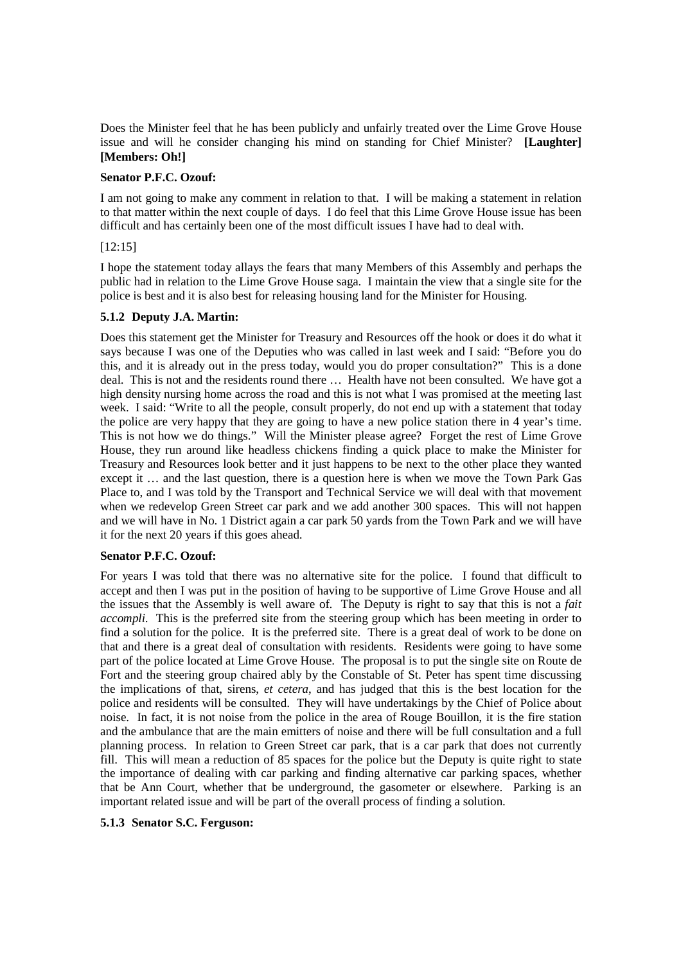Does the Minister feel that he has been publicly and unfairly treated over the Lime Grove House issue and will he consider changing his mind on standing for Chief Minister? **[Laughter] [Members: Oh!]** 

## **Senator P.F.C. Ozouf:**

I am not going to make any comment in relation to that. I will be making a statement in relation to that matter within the next couple of days. I do feel that this Lime Grove House issue has been difficult and has certainly been one of the most difficult issues I have had to deal with.

## [12:15]

I hope the statement today allays the fears that many Members of this Assembly and perhaps the public had in relation to the Lime Grove House saga. I maintain the view that a single site for the police is best and it is also best for releasing housing land for the Minister for Housing.

# **5.1.2 Deputy J.A. Martin:**

Does this statement get the Minister for Treasury and Resources off the hook or does it do what it says because I was one of the Deputies who was called in last week and I said: "Before you do this, and it is already out in the press today, would you do proper consultation?" This is a done deal. This is not and the residents round there … Health have not been consulted. We have got a high density nursing home across the road and this is not what I was promised at the meeting last week. I said: "Write to all the people, consult properly, do not end up with a statement that today the police are very happy that they are going to have a new police station there in 4 year's time. This is not how we do things." Will the Minister please agree? Forget the rest of Lime Grove House, they run around like headless chickens finding a quick place to make the Minister for Treasury and Resources look better and it just happens to be next to the other place they wanted except it … and the last question, there is a question here is when we move the Town Park Gas Place to, and I was told by the Transport and Technical Service we will deal with that movement when we redevelop Green Street car park and we add another 300 spaces. This will not happen and we will have in No. 1 District again a car park 50 yards from the Town Park and we will have it for the next 20 years if this goes ahead.

## **Senator P.F.C. Ozouf:**

For years I was told that there was no alternative site for the police. I found that difficult to accept and then I was put in the position of having to be supportive of Lime Grove House and all the issues that the Assembly is well aware of. The Deputy is right to say that this is not a *fait accompli*. This is the preferred site from the steering group which has been meeting in order to find a solution for the police. It is the preferred site. There is a great deal of work to be done on that and there is a great deal of consultation with residents. Residents were going to have some part of the police located at Lime Grove House. The proposal is to put the single site on Route de Fort and the steering group chaired ably by the Constable of St. Peter has spent time discussing the implications of that, sirens, *et cetera*, and has judged that this is the best location for the police and residents will be consulted. They will have undertakings by the Chief of Police about noise. In fact, it is not noise from the police in the area of Rouge Bouillon, it is the fire station and the ambulance that are the main emitters of noise and there will be full consultation and a full planning process. In relation to Green Street car park, that is a car park that does not currently fill. This will mean a reduction of 85 spaces for the police but the Deputy is quite right to state the importance of dealing with car parking and finding alternative car parking spaces, whether that be Ann Court, whether that be underground, the gasometer or elsewhere. Parking is an important related issue and will be part of the overall process of finding a solution.

## **5.1.3 Senator S.C. Ferguson:**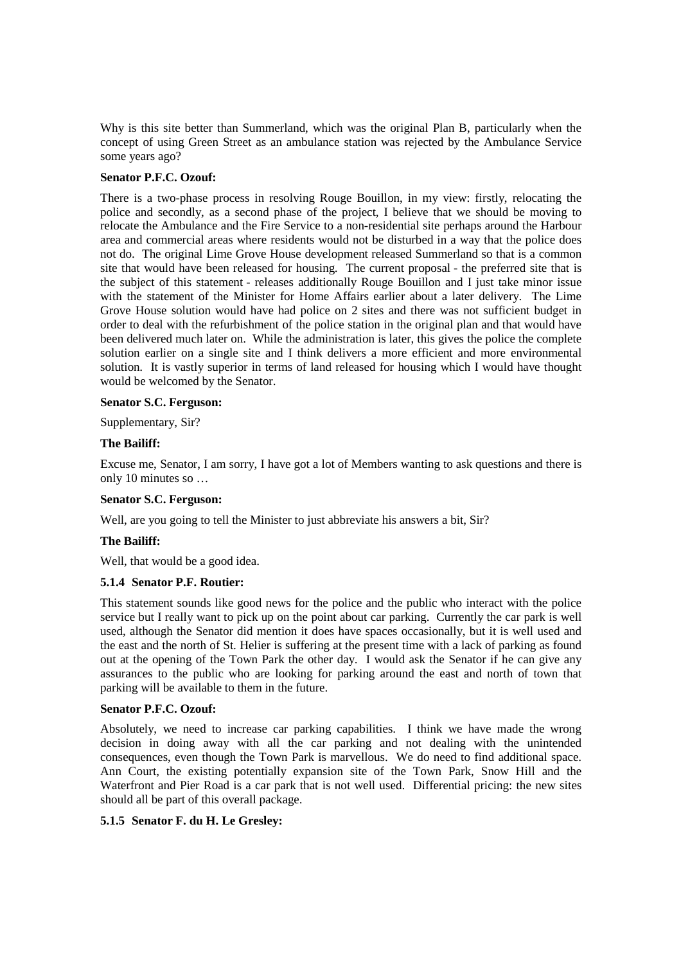Why is this site better than Summerland, which was the original Plan B, particularly when the concept of using Green Street as an ambulance station was rejected by the Ambulance Service some years ago?

## **Senator P.F.C. Ozouf:**

There is a two-phase process in resolving Rouge Bouillon, in my view: firstly, relocating the police and secondly, as a second phase of the project, I believe that we should be moving to relocate the Ambulance and the Fire Service to a non-residential site perhaps around the Harbour area and commercial areas where residents would not be disturbed in a way that the police does not do. The original Lime Grove House development released Summerland so that is a common site that would have been released for housing. The current proposal - the preferred site that is the subject of this statement - releases additionally Rouge Bouillon and I just take minor issue with the statement of the Minister for Home Affairs earlier about a later delivery. The Lime Grove House solution would have had police on 2 sites and there was not sufficient budget in order to deal with the refurbishment of the police station in the original plan and that would have been delivered much later on. While the administration is later, this gives the police the complete solution earlier on a single site and I think delivers a more efficient and more environmental solution. It is vastly superior in terms of land released for housing which I would have thought would be welcomed by the Senator.

### **Senator S.C. Ferguson:**

Supplementary, Sir?

#### **The Bailiff:**

Excuse me, Senator, I am sorry, I have got a lot of Members wanting to ask questions and there is only 10 minutes so …

### **Senator S.C. Ferguson:**

Well, are you going to tell the Minister to just abbreviate his answers a bit, Sir?

#### **The Bailiff:**

Well, that would be a good idea.

## **5.1.4 Senator P.F. Routier:**

This statement sounds like good news for the police and the public who interact with the police service but I really want to pick up on the point about car parking. Currently the car park is well used, although the Senator did mention it does have spaces occasionally, but it is well used and the east and the north of St. Helier is suffering at the present time with a lack of parking as found out at the opening of the Town Park the other day. I would ask the Senator if he can give any assurances to the public who are looking for parking around the east and north of town that parking will be available to them in the future.

### **Senator P.F.C. Ozouf:**

Absolutely, we need to increase car parking capabilities. I think we have made the wrong decision in doing away with all the car parking and not dealing with the unintended consequences, even though the Town Park is marvellous. We do need to find additional space. Ann Court, the existing potentially expansion site of the Town Park, Snow Hill and the Waterfront and Pier Road is a car park that is not well used. Differential pricing: the new sites should all be part of this overall package.

#### **5.1.5 Senator F. du H. Le Gresley:**